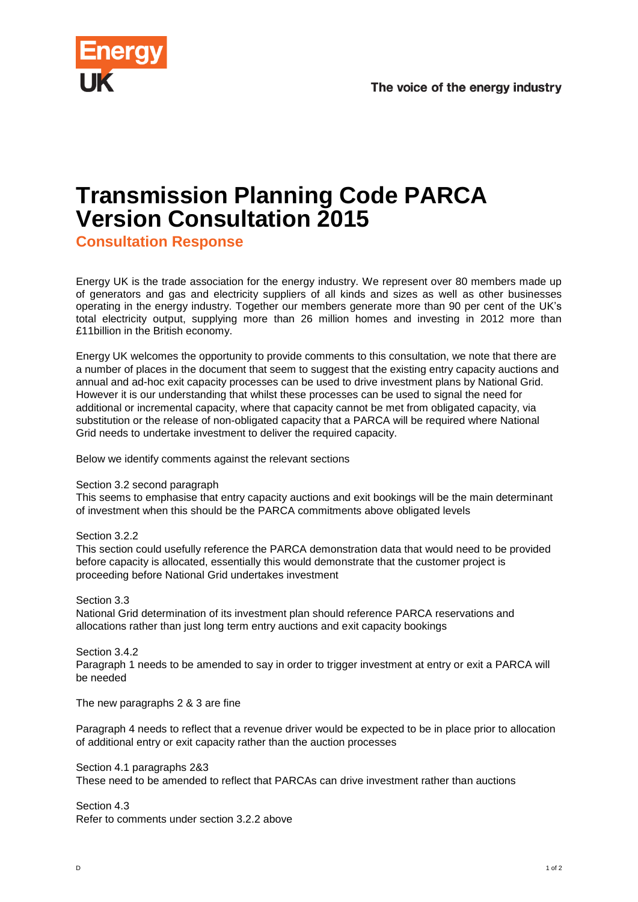

## **Transmission Planning Code PARCA Version Consultation 2015**

**Consultation Response**

Energy UK is the trade association for the energy industry. We represent over 80 members made up of generators and gas and electricity suppliers of all kinds and sizes as well as other businesses operating in the energy industry. Together our members generate more than 90 per cent of the UK's total electricity output, supplying more than 26 million homes and investing in 2012 more than £11billion in the British economy.

Energy UK welcomes the opportunity to provide comments to this consultation, we note that there are a number of places in the document that seem to suggest that the existing entry capacity auctions and annual and ad-hoc exit capacity processes can be used to drive investment plans by National Grid. However it is our understanding that whilst these processes can be used to signal the need for additional or incremental capacity, where that capacity cannot be met from obligated capacity, via substitution or the release of non-obligated capacity that a PARCA will be required where National Grid needs to undertake investment to deliver the required capacity.

Below we identify comments against the relevant sections

## Section 3.2 second paragraph

This seems to emphasise that entry capacity auctions and exit bookings will be the main determinant of investment when this should be the PARCA commitments above obligated levels

Section 3.2.2

This section could usefully reference the PARCA demonstration data that would need to be provided before capacity is allocated, essentially this would demonstrate that the customer project is proceeding before National Grid undertakes investment

Section 3.3

National Grid determination of its investment plan should reference PARCA reservations and allocations rather than just long term entry auctions and exit capacity bookings

Section 3.4.2

Paragraph 1 needs to be amended to say in order to trigger investment at entry or exit a PARCA will be needed

The new paragraphs 2 & 3 are fine

Paragraph 4 needs to reflect that a revenue driver would be expected to be in place prior to allocation of additional entry or exit capacity rather than the auction processes

Section 4.1 paragraphs 2&3 These need to be amended to reflect that PARCAs can drive investment rather than auctions

Section 4.3 Refer to comments under section 3.2.2 above